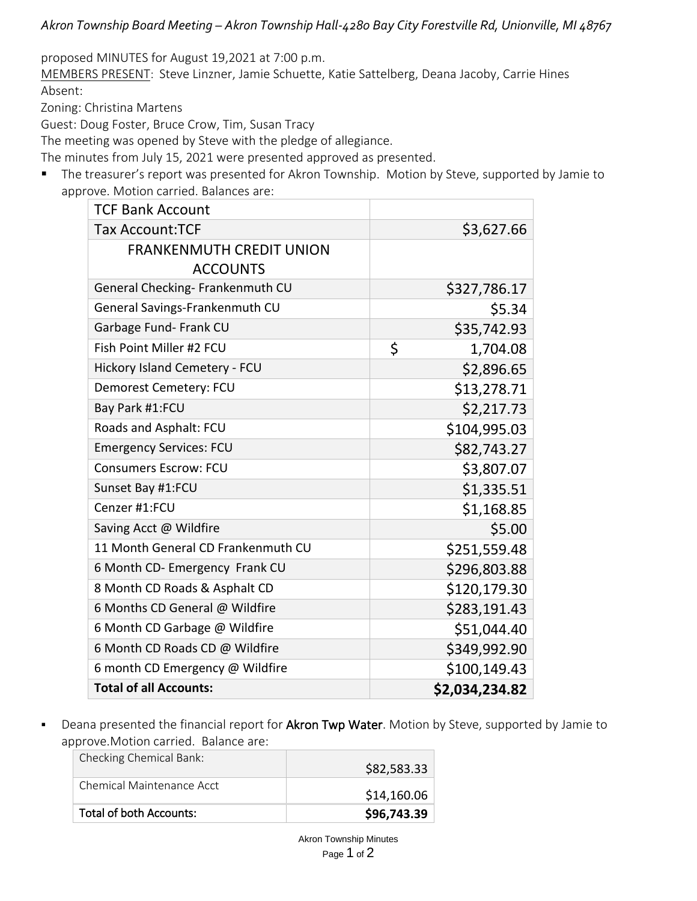*Akron Township Board Meeting – Akron Township Hall-4280 Bay City Forestville Rd, Unionville, MI 48767*

proposed MINUTES for August 19,2021 at 7:00 p.m.

MEMBERS PRESENT: Steve Linzner, Jamie Schuette, Katie Sattelberg, Deana Jacoby, Carrie Hines Absent:

Zoning: Christina Martens

Guest: Doug Foster, Bruce Crow, Tim, Susan Tracy

The meeting was opened by Steve with the pledge of allegiance.

The minutes from July 15, 2021 were presented approved as presented.

■ The treasurer's report was presented for Akron Township. Motion by Steve, supported by Jamie to approve. Motion carried. Balances are:

| <b>TCF Bank Account</b>            |                |
|------------------------------------|----------------|
| <b>Tax Account:TCF</b>             | \$3,627.66     |
| <b>FRANKENMUTH CREDIT UNION</b>    |                |
| <b>ACCOUNTS</b>                    |                |
| General Checking- Frankenmuth CU   | \$327,786.17   |
| General Savings-Frankenmuth CU     | \$5.34         |
| Garbage Fund- Frank CU             | \$35,742.93    |
| Fish Point Miller #2 FCU           | \$<br>1,704.08 |
| Hickory Island Cemetery - FCU      | \$2,896.65     |
| Demorest Cemetery: FCU             | \$13,278.71    |
| Bay Park #1:FCU                    | \$2,217.73     |
| Roads and Asphalt: FCU             | \$104,995.03   |
| <b>Emergency Services: FCU</b>     | \$82,743.27    |
| <b>Consumers Escrow: FCU</b>       | \$3,807.07     |
| Sunset Bay #1:FCU                  | \$1,335.51     |
| Cenzer #1:FCU                      | \$1,168.85     |
| Saving Acct @ Wildfire             | \$5.00         |
| 11 Month General CD Frankenmuth CU | \$251,559.48   |
| 6 Month CD- Emergency Frank CU     | \$296,803.88   |
| 8 Month CD Roads & Asphalt CD      | \$120,179.30   |
| 6 Months CD General @ Wildfire     | \$283,191.43   |
| 6 Month CD Garbage @ Wildfire      | \$51,044.40    |
| 6 Month CD Roads CD @ Wildfire     | \$349,992.90   |
| 6 month CD Emergency @ Wildfire    | \$100,149.43   |
| <b>Total of all Accounts:</b>      | \$2,034,234.82 |

**•** Deana presented the financial report for Akron Twp Water. Motion by Steve, supported by Jamie to approve.Motion carried. Balance are:

| Total of both Accounts:   | \$96,743.39 |
|---------------------------|-------------|
| Chemical Maintenance Acct | \$14,160.06 |
| Checking Chemical Bank:   | \$82,583.33 |